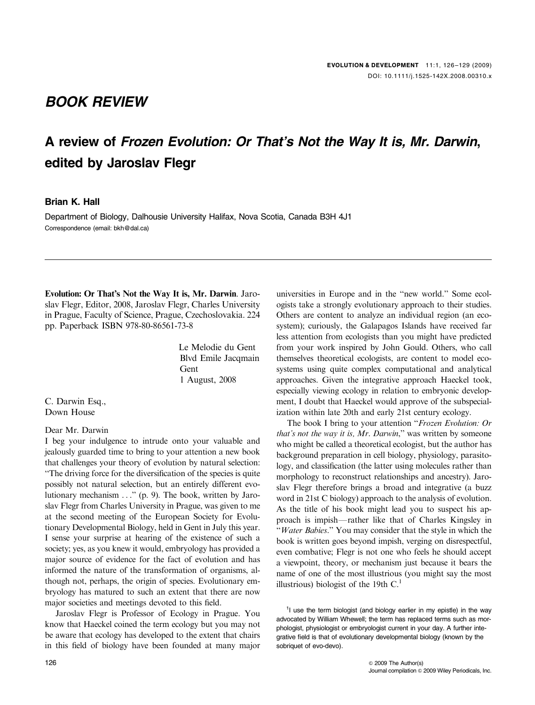## BOOK REVIEW

## A review of Frozen Evolution: Or That's Not the Way It is, Mr. Darwin, edited by Jaroslav Flegr

## Brian K. Hall

Department of Biology, Dalhousie University Halifax, Nova Scotia, Canada B3H 4J1 Correspondence (email: bkh@dal.ca)

Evolution: Or That's Not the Way It is, Mr. Darwin. Jaroslav Flegr, Editor, 2008, Jaroslav Flegr, Charles University in Prague, Faculty of Science, Prague, Czechoslovakia. 224 pp. Paperback ISBN 978-80-86561-73-8

> Le Melodie du Gent Blvd Emile Jacqmain Gent 1 August, 2008

C. Darwin Esq., Down House

Dear Mr. Darwin

I beg your indulgence to intrude onto your valuable and jealously guarded time to bring to your attention a new book that challenges your theory of evolution by natural selection: ''The driving force for the diversification of the species is quite possibly not natural selection, but an entirely different evolutionary mechanism . . .'' (p. 9). The book, written by Jaroslav Flegr from Charles University in Prague, was given to me at the second meeting of the European Society for Evolutionary Developmental Biology, held in Gent in July this year. I sense your surprise at hearing of the existence of such a society; yes, as you knew it would, embryology has provided a major source of evidence for the fact of evolution and has informed the nature of the transformation of organisms, although not, perhaps, the origin of species. Evolutionary embryology has matured to such an extent that there are now major societies and meetings devoted to this field.

Jaroslav Flegr is Professor of Ecology in Prague. You know that Haeckel coined the term ecology but you may not be aware that ecology has developed to the extent that chairs in this field of biology have been founded at many major

universities in Europe and in the ''new world.'' Some ecologists take a strongly evolutionary approach to their studies. Others are content to analyze an individual region (an ecosystem); curiously, the Galapagos Islands have received far less attention from ecologists than you might have predicted from your work inspired by John Gould. Others, who call themselves theoretical ecologists, are content to model ecosystems using quite complex computational and analytical approaches. Given the integrative approach Haeckel took, especially viewing ecology in relation to embryonic development, I doubt that Haeckel would approve of the subspecialization within late 20th and early 21st century ecology.

The book I bring to your attention "Frozen Evolution: Or that's not the way it is,  $Mr.$  Darwin," was written by someone who might be called a theoretical ecologist, but the author has background preparation in cell biology, physiology, parasitology, and classification (the latter using molecules rather than morphology to reconstruct relationships and ancestry). Jaroslav Flegr therefore brings a broad and integrative (a buzz word in 21st C biology) approach to the analysis of evolution. As the title of his book might lead you to suspect his approach is impish-rather like that of Charles Kingsley in "Water Babies." You may consider that the style in which the book is written goes beyond impish, verging on disrespectful, even combative; Flegr is not one who feels he should accept a viewpoint, theory, or mechanism just because it bears the name of one of the most illustrious (you might say the most illustrious) biologist of the 19th  $C<sup>1</sup>$ 

<sup>1</sup>I use the term biologist (and biology earlier in my epistle) in the way advocated by William Whewell; the term has replaced terms such as morphologist, physiologist or embryologist current in your day. A further integrative field is that of evolutionary developmental biology (known by the sobriquet of evo-devo).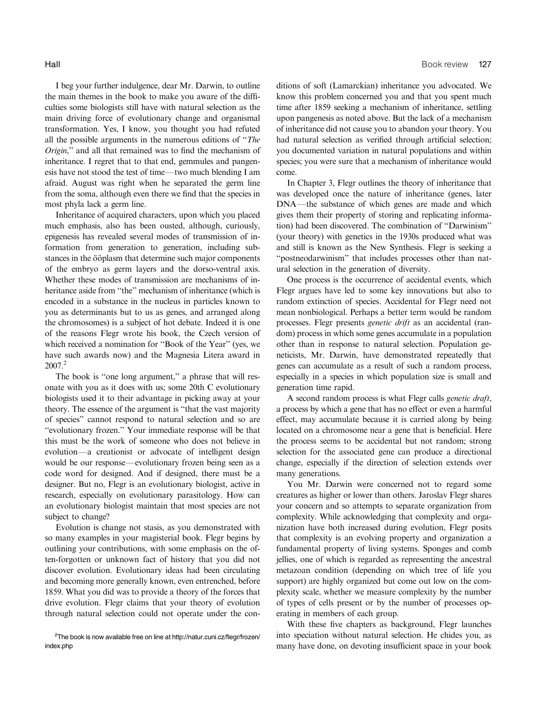I beg your further indulgence, dear Mr. Darwin, to outline the main themes in the book to make you aware of the difficulties some biologists still have with natural selection as the main driving force of evolutionary change and organismal transformation. Yes, I know, you thought you had refuted all the possible arguments in the numerous editions of ''The Origin,'' and all that remained was to find the mechanism of inheritance. I regret that to that end, gemmules and pangenesis have not stood the test of time-two much blending I am afraid. August was right when he separated the germ line from the soma, although even there we find that the species in most phyla lack a germ line.

Inheritance of acquired characters, upon which you placed much emphasis, also has been ousted, although, curiously, epigenesis has revealed several modes of transmission of information from generation to generation, including substances in the ööplasm that determine such major components of the embryo as germ layers and the dorso-ventral axis. Whether these modes of transmission are mechanisms of inheritance aside from ''the'' mechanism of inheritance (which is encoded in a substance in the nucleus in particles known to you as determinants but to us as genes, and arranged along the chromosomes) is a subject of hot debate. Indeed it is one of the reasons Flegr wrote his book, the Czech version of which received a nomination for ''Book of the Year'' (yes, we have such awards now) and the Magnesia Litera award in 2007.2

The book is "one long argument," a phrase that will resonate with you as it does with us; some 20th C evolutionary biologists used it to their advantage in picking away at your theory. The essence of the argument is ''that the vast majority of species'' cannot respond to natural selection and so are ''evolutionary frozen.'' Your immediate response will be that this must be the work of someone who does not believe in evolution-a creationist or advocate of intelligent design would be our response—evolutionary frozen being seen as a code word for designed. And if designed, there must be a designer. But no, Flegr is an evolutionary biologist, active in research, especially on evolutionary parasitology. How can an evolutionary biologist maintain that most species are not subject to change?

Evolution is change not stasis, as you demonstrated with so many examples in your magisterial book. Flegr begins by outlining your contributions, with some emphasis on the often-forgotten or unknown fact of history that you did not discover evolution. Evolutionary ideas had been circulating and becoming more generally known, even entrenched, before 1859. What you did was to provide a theory of the forces that drive evolution. Flegr claims that your theory of evolution through natural selection could not operate under the conditions of soft (Lamarckian) inheritance you advocated. We know this problem concerned you and that you spent much time after 1859 seeking a mechanism of inheritance, settling upon pangenesis as noted above. But the lack of a mechanism of inheritance did not cause you to abandon your theory. You had natural selection as verified through artificial selection; you documented variation in natural populations and within species; you were sure that a mechanism of inheritance would come.

In Chapter 3, Flegr outlines the theory of inheritance that was developed once the nature of inheritance (genes, later DNA—the substance of which genes are made and which gives them their property of storing and replicating information) had been discovered. The combination of ''Darwinism'' (your theory) with genetics in the 1930s produced what was and still is known as the New Synthesis. Flegr is seeking a ''postneodarwinism'' that includes processes other than natural selection in the generation of diversity.

One process is the occurrence of accidental events, which Flegr argues have led to some key innovations but also to random extinction of species. Accidental for Flegr need not mean nonbiological. Perhaps a better term would be random processes. Flegr presents genetic drift as an accidental (random) process in which some genes accumulate in a population other than in response to natural selection. Population geneticists, Mr. Darwin, have demonstrated repeatedly that genes can accumulate as a result of such a random process, especially in a species in which population size is small and generation time rapid.

A second random process is what Flegr calls genetic draft, a process by which a gene that has no effect or even a harmful effect, may accumulate because it is carried along by being located on a chromosome near a gene that is beneficial. Here the process seems to be accidental but not random; strong selection for the associated gene can produce a directional change, especially if the direction of selection extends over many generations.

You Mr. Darwin were concerned not to regard some creatures as higher or lower than others. Jaroslav Flegr shares your concern and so attempts to separate organization from complexity. While acknowledging that complexity and organization have both increased during evolution, Flegr posits that complexity is an evolving property and organization a fundamental property of living systems. Sponges and comb jellies, one of which is regarded as representing the ancestral metazoan condition (depending on which tree of life you support) are highly organized but come out low on the complexity scale, whether we measure complexity by the number of types of cells present or by the number of processes operating in members of each group.

With these five chapters as background, Flegr launches into speciation without natural selection. He chides you, as many have done, on devoting insufficient space in your book

<sup>&</sup>lt;sup>2</sup>The book is now available free on line at http://natur.cuni.cz/flegr/frozen/ index.php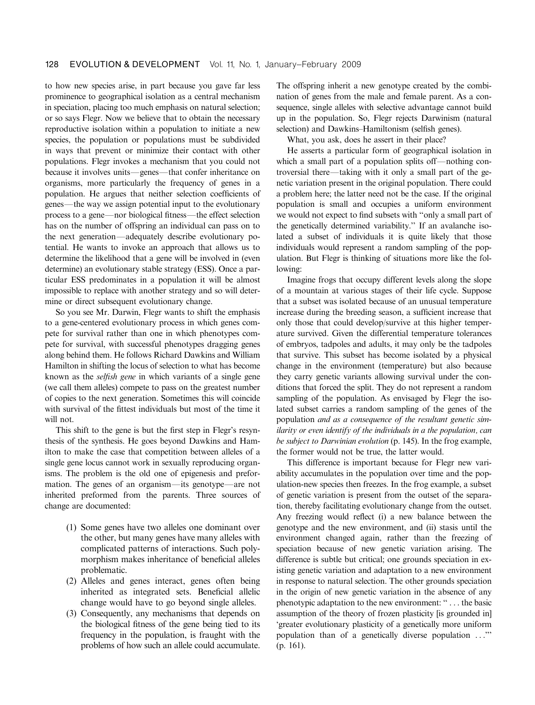to how new species arise, in part because you gave far less prominence to geographical isolation as a central mechanism in speciation, placing too much emphasis on natural selection; or so says Flegr. Now we believe that to obtain the necessary reproductive isolation within a population to initiate a new species, the population or populations must be subdivided in ways that prevent or minimize their contact with other populations. Flegr invokes a mechanism that you could not because it involves units—genes—that confer inheritance on organisms, more particularly the frequency of genes in a population. He argues that neither selection coefficients of genes—the way we assign potential input to the evolutionary process to a gene—nor biological fitness—the effect selection has on the number of offspring an individual can pass on to the next generation—adequately describe evolutionary potential. He wants to invoke an approach that allows us to determine the likelihood that a gene will be involved in (even determine) an evolutionary stable strategy (ESS). Once a particular ESS predominates in a population it will be almost impossible to replace with another strategy and so will determine or direct subsequent evolutionary change.

So you see Mr. Darwin, Flegr wants to shift the emphasis to a gene-centered evolutionary process in which genes compete for survival rather than one in which phenotypes compete for survival, with successful phenotypes dragging genes along behind them. He follows Richard Dawkins and William Hamilton in shifting the locus of selection to what has become known as the selfish gene in which variants of a single gene (we call them alleles) compete to pass on the greatest number of copies to the next generation. Sometimes this will coincide with survival of the fittest individuals but most of the time it will not.

This shift to the gene is but the first step in Flegr's resynthesis of the synthesis. He goes beyond Dawkins and Hamilton to make the case that competition between alleles of a single gene locus cannot work in sexually reproducing organisms. The problem is the old one of epigenesis and preformation. The genes of an organism—its genotype—are not inherited preformed from the parents. Three sources of change are documented:

- (1) Some genes have two alleles one dominant over the other, but many genes have many alleles with complicated patterns of interactions. Such polymorphism makes inheritance of beneficial alleles problematic.
- (2) Alleles and genes interact, genes often being inherited as integrated sets. Beneficial allelic change would have to go beyond single alleles.
- (3) Consequently, any mechanisms that depends on the biological fitness of the gene being tied to its frequency in the population, is fraught with the problems of how such an allele could accumulate.

The offspring inherit a new genotype created by the combination of genes from the male and female parent. As a consequence, single alleles with selective advantage cannot build up in the population. So, Flegr rejects Darwinism (natural selection) and Dawkins–Hamiltonism (selfish genes).

What, you ask, does he assert in their place?

He asserts a particular form of geographical isolation in which a small part of a population splits of  $f$ —nothing controversial there—taking with it only a small part of the genetic variation present in the original population. There could a problem here; the latter need not be the case. If the original population is small and occupies a uniform environment we would not expect to find subsets with ''only a small part of the genetically determined variability.'' If an avalanche isolated a subset of individuals it is quite likely that those individuals would represent a random sampling of the population. But Flegr is thinking of situations more like the following:

Imagine frogs that occupy different levels along the slope of a mountain at various stages of their life cycle. Suppose that a subset was isolated because of an unusual temperature increase during the breeding season, a sufficient increase that only those that could develop/survive at this higher temperature survived. Given the differential temperature tolerances of embryos, tadpoles and adults, it may only be the tadpoles that survive. This subset has become isolated by a physical change in the environment (temperature) but also because they carry genetic variants allowing survival under the conditions that forced the split. They do not represent a random sampling of the population. As envisaged by Flegr the isolated subset carries a random sampling of the genes of the population and as a consequence of the resultant genetic similarity or even identify of the individuals in a the population, can be subject to Darwinian evolution (p. 145). In the frog example, the former would not be true, the latter would.

This difference is important because for Flegr new variability accumulates in the population over time and the population-new species then freezes. In the frog example, a subset of genetic variation is present from the outset of the separation, thereby facilitating evolutionary change from the outset. Any freezing would reflect (i) a new balance between the genotype and the new environment, and (ii) stasis until the environment changed again, rather than the freezing of speciation because of new genetic variation arising. The difference is subtle but critical; one grounds speciation in existing genetic variation and adaptation to a new environment in response to natural selection. The other grounds speciation in the origin of new genetic variation in the absence of any phenotypic adaptation to the new environment: '' . . . the basic assumption of the theory of frozen plasticity [is grounded in] 'greater evolutionary plasticity of a genetically more uniform population than of a genetically diverse population . . .''' (p. 161).